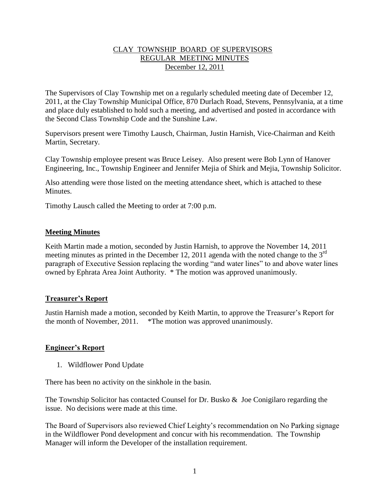## CLAY TOWNSHIP BOARD OF SUPERVISORS REGULAR MEETING MINUTES December 12, 2011

The Supervisors of Clay Township met on a regularly scheduled meeting date of December 12, 2011, at the Clay Township Municipal Office, 870 Durlach Road, Stevens, Pennsylvania, at a time and place duly established to hold such a meeting, and advertised and posted in accordance with the Second Class Township Code and the Sunshine Law.

Supervisors present were Timothy Lausch, Chairman, Justin Harnish, Vice-Chairman and Keith Martin, Secretary.

Clay Township employee present was Bruce Leisey. Also present were Bob Lynn of Hanover Engineering, Inc., Township Engineer and Jennifer Mejia of Shirk and Mejia, Township Solicitor.

Also attending were those listed on the meeting attendance sheet, which is attached to these Minutes.

Timothy Lausch called the Meeting to order at 7:00 p.m.

## **Meeting Minutes**

Keith Martin made a motion, seconded by Justin Harnish, to approve the November 14, 2011 meeting minutes as printed in the December 12, 2011 agenda with the noted change to the  $3<sup>rd</sup>$ paragraph of Executive Session replacing the wording "and water lines" to and above water lines owned by Ephrata Area Joint Authority. \* The motion was approved unanimously.

## **Treasurer's Report**

Justin Harnish made a motion, seconded by Keith Martin, to approve the Treasurer's Report for the month of November, 2011. \*The motion was approved unanimously.

## **Engineer's Report**

1. Wildflower Pond Update

There has been no activity on the sinkhole in the basin.

The Township Solicitor has contacted Counsel for Dr. Busko & Joe Conigilaro regarding the issue. No decisions were made at this time.

The Board of Supervisors also reviewed Chief Leighty's recommendation on No Parking signage in the Wildflower Pond development and concur with his recommendation. The Township Manager will inform the Developer of the installation requirement.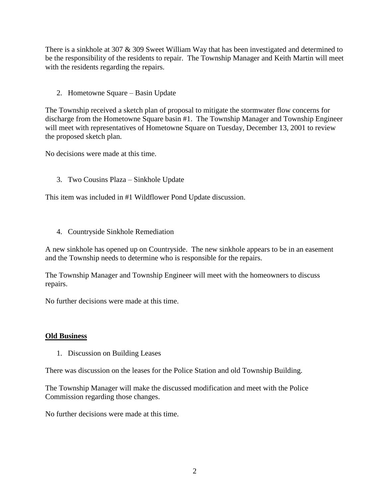There is a sinkhole at 307 & 309 Sweet William Way that has been investigated and determined to be the responsibility of the residents to repair. The Township Manager and Keith Martin will meet with the residents regarding the repairs.

2. Hometowne Square – Basin Update

The Township received a sketch plan of proposal to mitigate the stormwater flow concerns for discharge from the Hometowne Square basin #1. The Township Manager and Township Engineer will meet with representatives of Hometowne Square on Tuesday, December 13, 2001 to review the proposed sketch plan.

No decisions were made at this time.

3. Two Cousins Plaza – Sinkhole Update

This item was included in #1 Wildflower Pond Update discussion.

4. Countryside Sinkhole Remediation

A new sinkhole has opened up on Countryside. The new sinkhole appears to be in an easement and the Township needs to determine who is responsible for the repairs.

The Township Manager and Township Engineer will meet with the homeowners to discuss repairs.

No further decisions were made at this time.

## **Old Business**

1. Discussion on Building Leases

There was discussion on the leases for the Police Station and old Township Building.

The Township Manager will make the discussed modification and meet with the Police Commission regarding those changes.

No further decisions were made at this time.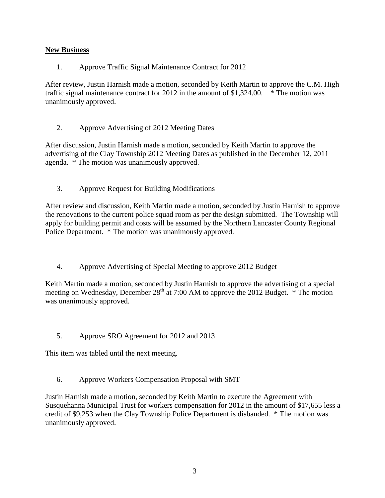# **New Business**

1. Approve Traffic Signal Maintenance Contract for 2012

After review, Justin Harnish made a motion, seconded by Keith Martin to approve the C.M. High traffic signal maintenance contract for 2012 in the amount of \$1,324.00. \* The motion was unanimously approved.

2. Approve Advertising of 2012 Meeting Dates

After discussion, Justin Harnish made a motion, seconded by Keith Martin to approve the advertising of the Clay Township 2012 Meeting Dates as published in the December 12, 2011 agenda. \* The motion was unanimously approved.

3. Approve Request for Building Modifications

After review and discussion, Keith Martin made a motion, seconded by Justin Harnish to approve the renovations to the current police squad room as per the design submitted. The Township will apply for building permit and costs will be assumed by the Northern Lancaster County Regional Police Department. \* The motion was unanimously approved.

4. Approve Advertising of Special Meeting to approve 2012 Budget

Keith Martin made a motion, seconded by Justin Harnish to approve the advertising of a special meeting on Wednesday, December  $28<sup>th</sup>$  at 7:00 AM to approve the 2012 Budget.  $*$  The motion was unanimously approved.

5. Approve SRO Agreement for 2012 and 2013

This item was tabled until the next meeting.

6. Approve Workers Compensation Proposal with SMT

Justin Harnish made a motion, seconded by Keith Martin to execute the Agreement with Susquehanna Municipal Trust for workers compensation for 2012 in the amount of \$17,655 less a credit of \$9,253 when the Clay Township Police Department is disbanded. \* The motion was unanimously approved.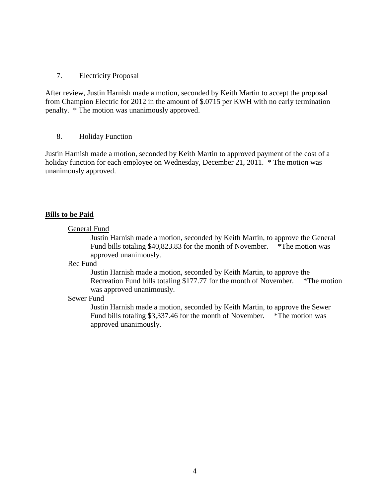### 7. Electricity Proposal

After review, Justin Harnish made a motion, seconded by Keith Martin to accept the proposal from Champion Electric for 2012 in the amount of \$.0715 per KWH with no early termination penalty. \* The motion was unanimously approved.

#### 8. Holiday Function

Justin Harnish made a motion, seconded by Keith Martin to approved payment of the cost of a holiday function for each employee on Wednesday, December 21, 2011. \* The motion was unanimously approved.

## **Bills to be Paid**

#### General Fund

Justin Harnish made a motion, seconded by Keith Martin, to approve the General Fund bills totaling \$40,823.83 for the month of November. \*The motion was approved unanimously.

#### Rec Fund

Justin Harnish made a motion, seconded by Keith Martin, to approve the Recreation Fund bills totaling \$177.77 for the month of November. \*The motion was approved unanimously.

#### Sewer Fund

Justin Harnish made a motion, seconded by Keith Martin, to approve the Sewer Fund bills totaling \$3,337.46 for the month of November. \*The motion was approved unanimously.